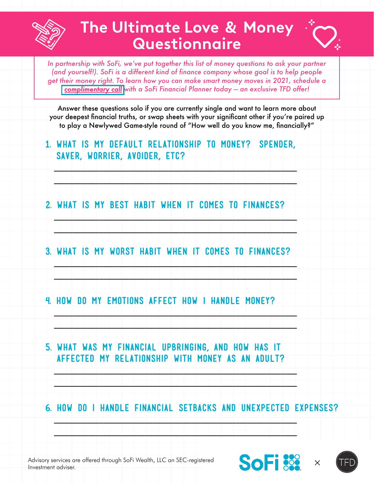

## **The Ultimate Love & Money Questionnaire**



In partnership with SoFi, we've put together this list of money questions to ask your partner *(and yourself!). SoFi is a different kind of finance company whose goal is to help people get their money right. To learn how you can make smart money moves in 2021, schedule a [complimentary call](http://sofi.com/SoFinancial) with a SoFi Financial Planner today — an exclusive TFD offer!*

Answer these questions solo if you are currently single and want to learn more about your deepest financial truths, or swap sheets with your significant other if you're paired up to play a Newlywed Game-style round of "How well do you know me, financially?"

**1. What is my default relationship to money? (Spender, saver, worrier, avoider, etc?**

 $\Box$  . The contribution of the contribution of the contribution of the contribution of the contribution of the contribution of the contribution of the contribution of the contribution of the contribution of the contributi

 $\Box$ 

 $\Box$ 

 $\Box$ 

\_\_\_\_\_\_\_\_\_\_\_\_\_\_\_\_\_\_\_\_\_\_\_\_\_\_\_\_\_\_\_\_\_\_\_\_\_\_\_\_\_\_\_\_\_\_\_\_\_\_\_\_\_\_\_\_\_\_\_\_\_\_\_\_

\_\_\_\_\_\_\_\_\_\_\_\_\_\_\_\_\_\_\_\_\_\_\_\_\_\_\_\_\_\_\_\_\_\_\_\_\_\_\_\_\_\_\_\_\_\_\_\_\_\_\_\_\_\_\_\_\_\_\_\_\_\_\_\_

\_\_\_\_\_\_\_\_\_\_\_\_\_\_\_\_\_\_\_\_\_\_\_\_\_\_\_\_\_\_\_\_\_\_\_\_\_\_\_\_\_\_\_\_\_\_\_\_\_\_\_\_\_\_\_\_\_\_\_\_\_\_\_\_

\_\_\_\_\_\_\_\_\_\_\_\_\_\_\_\_\_\_\_\_\_\_\_\_\_\_\_\_\_\_\_\_\_\_\_\_\_\_\_\_\_\_\_\_\_\_\_\_\_\_\_\_\_\_\_\_\_\_\_\_\_\_\_\_

 $\Box$ 

\_\_\_\_\_\_\_\_\_\_\_\_\_\_\_\_\_\_\_\_\_\_\_\_\_\_\_\_\_\_\_\_\_\_\_\_\_\_\_\_\_\_\_\_\_\_\_\_\_\_\_\_\_\_\_\_\_\_\_\_\_\_\_\_

\_\_\_\_\_\_\_\_\_\_\_\_\_\_\_\_\_\_\_\_\_\_\_\_\_\_\_\_\_\_\_\_\_\_\_\_\_\_\_\_\_\_\_\_\_\_\_\_\_\_\_\_\_\_\_\_\_\_\_\_\_\_\_\_

\_\_\_\_\_\_\_\_\_\_\_\_\_\_\_\_\_\_\_\_\_\_\_\_\_\_\_\_\_\_\_\_\_\_\_\_\_\_\_\_\_\_\_\_\_\_\_\_\_\_\_\_\_\_\_\_\_\_\_\_\_\_\_\_

- **2. What is my best habit when it comes to finances?**
- **3. What is my worst habit when it comes to finances?**
- **4. How do my emotions affect how I handle money?**
- **5. What was my financial upbringing, and how has it affected my relationship with money as an adult?**

**6. How do I handle financial setbacks and unexpected expenses?**

Advisory services are offered through SoFi Wealth, LLC an SEC-registered Investment adviser.



 $\overline{\phantom{a}}$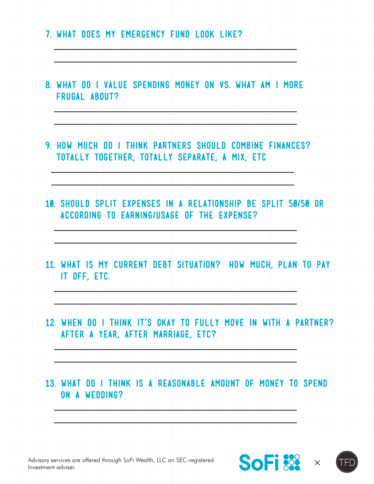



2